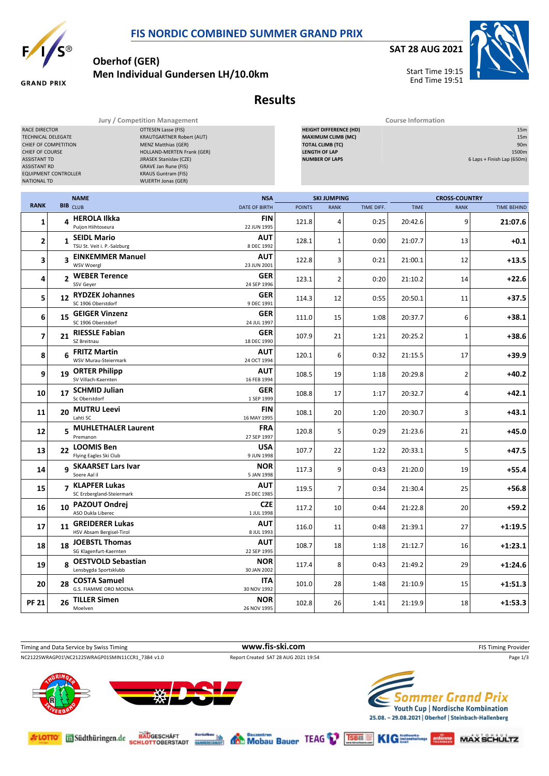

**GRAND PRIX** 

**SAT 28 AUG 2021**



## **Oberhof (GER) Men Individual Gundersen LH/10.0km**

**Results**

**Jury / Competition Management Course Information**

| RACE DIRECTOR<br>TECHNICAL DELEGATE<br>CHIEF OF COMPETITION<br>CHIEF OF COURSE<br><b>ASSISTANT TD</b><br><b>ASSISTANT RD</b><br><b>EQUIPMENT CONTROLLER</b><br><b>NATIONAL TD</b> |             |                                                    | OTTESEN Lasse (FIS)<br><b>KRAUTGARTNER Robert (AUT)</b><br><b>MENZ Matthias (GER)</b><br>HOLLAND-MERTEN Frank (GER)<br>JIRASEK Stanislav (CZE)<br><b>GRAVE Jan Rune (FIS)</b><br><b>KRAUS Guntram (FIS)</b><br><b>WUERTH Jonas (GER)</b> |                           |               | <b>HEIGHT DIFFERENCE (HD)</b><br><b>MAXIMUM CLIMB (MC)</b><br><b>TOTAL CLIMB (TC)</b><br><b>LENGTH OF LAP</b><br><b>NUMBER OF LAPS</b> |            |             |                      | 15m<br>15m<br>90m<br>1500m<br>6 Laps + Finish Lap (650m) |  |  |
|-----------------------------------------------------------------------------------------------------------------------------------------------------------------------------------|-------------|----------------------------------------------------|------------------------------------------------------------------------------------------------------------------------------------------------------------------------------------------------------------------------------------------|---------------------------|---------------|----------------------------------------------------------------------------------------------------------------------------------------|------------|-------------|----------------------|----------------------------------------------------------|--|--|
|                                                                                                                                                                                   | <b>NAME</b> |                                                    |                                                                                                                                                                                                                                          | <b>NSA</b>                |               | <b>SKI JUMPING</b>                                                                                                                     |            |             | <b>CROSS-COUNTRY</b> |                                                          |  |  |
| <b>RANK</b>                                                                                                                                                                       |             | BIB <sub>CLUB</sub>                                |                                                                                                                                                                                                                                          | <b>DATE OF BIRTH</b>      | <b>POINTS</b> | <b>RANK</b>                                                                                                                            | TIME DIFF. | <b>TIME</b> | <b>RANK</b>          | <b>TIME BEHIND</b>                                       |  |  |
| 1                                                                                                                                                                                 |             | 4 HEROLA Ilkka<br>Puijon Hiihtoseura               |                                                                                                                                                                                                                                          | FIN<br>22 JUN 1995        | 121.8         | 4                                                                                                                                      | 0:25       | 20:42.6     | 9                    | 21:07.6                                                  |  |  |
| 2                                                                                                                                                                                 |             | 1 SEIDL Mario<br>TSU St. Veit i. P.-Salzburg       |                                                                                                                                                                                                                                          | <b>AUT</b><br>8 DEC 1992  | 128.1         | $\mathbf 1$                                                                                                                            | 0:00       | 21:07.7     | 13                   | $+0.1$                                                   |  |  |
| 3                                                                                                                                                                                 |             | 3 EINKEMMER Manuel<br>WSV Woergl                   |                                                                                                                                                                                                                                          | AUT<br>23 JUN 2001        | 122.8         | 3                                                                                                                                      | 0:21       | 21:00.1     | 12                   | $+13.5$                                                  |  |  |
| 4                                                                                                                                                                                 |             | 2 WEBER Terence<br>SSV Geyer                       |                                                                                                                                                                                                                                          | <b>GER</b><br>24 SEP 1996 | 123.1         | 2                                                                                                                                      | 0:20       | 21:10.2     | 14                   | $+22.6$                                                  |  |  |
| 5                                                                                                                                                                                 |             | 12 RYDZEK Johannes<br>SC 1906 Oberstdorf           |                                                                                                                                                                                                                                          | <b>GER</b><br>9 DEC 1991  | 114.3         | 12                                                                                                                                     | 0:55       | 20:50.1     | 11                   | $+37.5$                                                  |  |  |
| 6                                                                                                                                                                                 |             | 15 GEIGER Vinzenz<br>SC 1906 Oberstdorf            |                                                                                                                                                                                                                                          | <b>GER</b><br>24 JUL 1997 | 111.0         | 15                                                                                                                                     | 1:08       | 20:37.7     | 6                    | $+38.1$                                                  |  |  |
| 7                                                                                                                                                                                 |             | 21 RIESSLE Fabian<br>SZ Breitnau                   |                                                                                                                                                                                                                                          | <b>GER</b><br>18 DEC 1990 | 107.9         | 21                                                                                                                                     | 1:21       | 20:25.2     | $\mathbf 1$          | $+38.6$                                                  |  |  |
| 8                                                                                                                                                                                 |             | 6 FRITZ Martin<br>WSV Murau-Steiermark             |                                                                                                                                                                                                                                          | <b>AUT</b><br>24 OCT 1994 | 120.1         | 6                                                                                                                                      | 0:32       | 21:15.5     | 17                   | +39.9                                                    |  |  |
| 9                                                                                                                                                                                 |             | 19 ORTER Philipp<br>SV Villach-Kaernten            |                                                                                                                                                                                                                                          | <b>AUT</b><br>16 FEB 1994 | 108.5         | 19                                                                                                                                     | 1:18       | 20:29.8     | $\mathbf 2$          | $+40.2$                                                  |  |  |
| 10                                                                                                                                                                                |             | 17 SCHMID Julian<br>Sc Oberstdorf                  |                                                                                                                                                                                                                                          | <b>GER</b><br>1 SEP 1999  | 108.8         | 17                                                                                                                                     | 1:17       | 20:32.7     | 4                    | $+42.1$                                                  |  |  |
| 11                                                                                                                                                                                |             | 20 MUTRU Leevi<br>Lahti SC                         |                                                                                                                                                                                                                                          | FIN<br>16 MAY 1995        | 108.1         | 20                                                                                                                                     | 1:20       | 20:30.7     | 3                    | $+43.1$                                                  |  |  |
| 12                                                                                                                                                                                |             | 5 MUHLETHALER Laurent<br>Premanon                  |                                                                                                                                                                                                                                          | <b>FRA</b><br>27 SEP 1997 | 120.8         | 5                                                                                                                                      | 0:29       | 21:23.6     | 21                   | +45.0                                                    |  |  |
| 13                                                                                                                                                                                |             | 22 LOOMIS Ben<br>Flying Eagles Ski Club            |                                                                                                                                                                                                                                          | USA<br>9 JUN 1998         | 107.7         | 22                                                                                                                                     | 1:22       | 20:33.1     | 5                    | +47.5                                                    |  |  |
| 14                                                                                                                                                                                |             | <b>9 SKAARSET Lars Ivar</b><br>Soere Aal il        |                                                                                                                                                                                                                                          | <b>NOR</b><br>5 JAN 1998  | 117.3         | 9                                                                                                                                      | 0:43       | 21:20.0     | 19                   | $+55.4$                                                  |  |  |
| 15                                                                                                                                                                                |             | 7 KLAPFER Lukas<br>SC Erzbergland-Steiermark       |                                                                                                                                                                                                                                          | AUT<br>25 DEC 1985        | 119.5         | 7                                                                                                                                      | 0:34       | 21:30.4     | 25                   | $+56.8$                                                  |  |  |
| 16                                                                                                                                                                                |             | 10 PAZOUT Ondrej<br>ASO Dukla Liberec              |                                                                                                                                                                                                                                          | <b>CZE</b><br>1 JUL 1998  | 117.2         | 10                                                                                                                                     | 0:44       | 21:22.8     | 20                   | $+59.2$                                                  |  |  |
| 17                                                                                                                                                                                | 11          | <b>GREIDERER Lukas</b><br>HSV Absam Bergisel-Tirol |                                                                                                                                                                                                                                          | AUT<br>8 JUL 1993         | 116.0         | 11                                                                                                                                     | 0:48       | 21:39.1     | 27                   | $+1:19.5$                                                |  |  |
| 18                                                                                                                                                                                | 18          | <b>JOEBSTL Thomas</b><br>SG Klagenfurt-Kaernten    |                                                                                                                                                                                                                                          | <b>AUT</b><br>22 SEP 1995 | 108.7         | 18                                                                                                                                     | 1:18       | 21:12.7     | 16                   | $+1:23.1$                                                |  |  |
| 19                                                                                                                                                                                |             | 8 OESTVOLD Sebastian<br>Lensbygda Sportsklubb      |                                                                                                                                                                                                                                          | <b>NOR</b><br>30 JAN 2002 | 117.4         | 8                                                                                                                                      | 0:43       | 21:49.2     | 29                   | $+1:24.6$                                                |  |  |
| 20                                                                                                                                                                                |             | 28 COSTA Samuel<br>G.S. FIAMME ORO MOENA           |                                                                                                                                                                                                                                          | <b>ITA</b><br>30 NOV 1992 | 101.0         | 28                                                                                                                                     | 1:48       | 21:10.9     | 15                   | $+1:51.3$                                                |  |  |
| <b>PF 21</b>                                                                                                                                                                      | 26          | <b>TILLER Simen</b><br>Moelven                     |                                                                                                                                                                                                                                          | <b>NOR</b><br>26 NOV 1995 | 102.8         | 26                                                                                                                                     | 1:41       | 21:19.9     | 18                   | $+1:53.3$                                                |  |  |











KIG **Instant** 

**MAX SCHULTZ**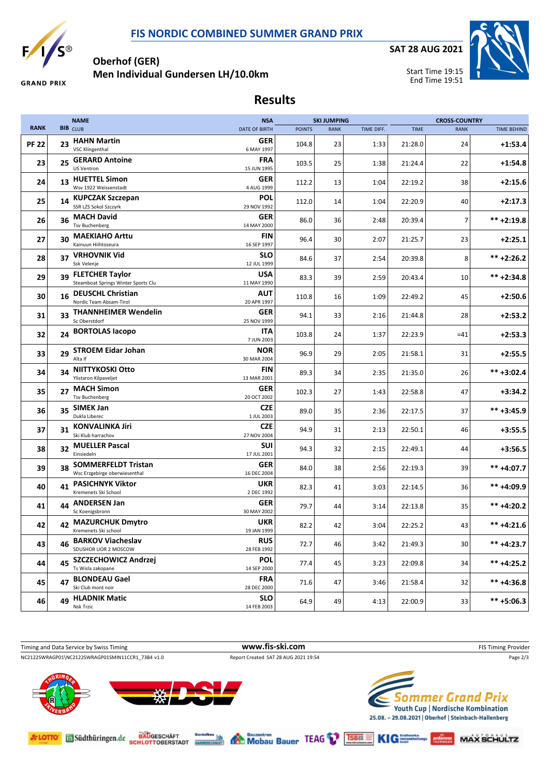

**SAT 28 AUG 2021**

Start Time 19:15 End Time 19:51



**MAX SCHULTZ** 

**GRAND PRIX** 

**Oberhof (GER) Men Individual Gundersen LH/10.0km**

**Results**

|              | <b>NAME</b>                                                                                  | <b>NSA</b>                |               | <b>SKI JUMPING</b> |            |             | <b>CROSS-COUNTRY</b> |                    |  |
|--------------|----------------------------------------------------------------------------------------------|---------------------------|---------------|--------------------|------------|-------------|----------------------|--------------------|--|
| <b>RANK</b>  | BIB <sub>CLUB</sub>                                                                          | <b>DATE OF BIRTH</b>      | <b>POINTS</b> | <b>RANK</b>        | TIME DIFF. | <b>TIME</b> | <b>RANK</b>          | <b>TIME BEHIND</b> |  |
| <b>PF 22</b> | <b>HAHN Martin</b><br>23<br><b>VSC Klingenthal</b>                                           | GER<br>6 MAY 1997         | 104.8         | 23                 | 1:33       | 21:28.0     | 24                   | $+1:53.4$          |  |
| 23           | <b>GERARD Antoine</b><br>25<br><b>US Ventron</b>                                             | <b>FRA</b><br>15 JUN 1995 | 103.5         | 25                 | 1:38       | 21:24.4     | 22                   | $+1:54.8$          |  |
| 24           | <b>HUETTEL Simon</b><br>13<br>Wsv 1922 Weissenstadt                                          | GER<br>4 AUG 1999         | 112.2         | 13                 | 1:04       | 22:19.2     | 38                   | $+2:15.6$          |  |
| 25           | <b>KUPCZAK Szczepan</b><br>14<br>SSR LZS Sokol Szczyrk                                       | <b>POL</b><br>29 NOV 1992 | 112.0         | 14                 | 1:04       | 22:20.9     | 40                   | $+2:17.3$          |  |
| 26           | <b>MACH David</b><br>36<br><b>Tsv Buchenberg</b>                                             | GER<br>14 MAY 2000        | 86.0          | 36                 | 2:48       | 20:39.4     | 7                    | $*** +2:19.8$      |  |
| 27           | <b>MAEKIAHO Arttu</b><br>30<br>Kainuun Hiihtoseura                                           | FIN<br>16 SEP 1997        | 96.4          | 30                 | 2:07       | 21:25.7     | 23                   | $+2:25.1$          |  |
| 28           | <b>VRHOVNIK Vid</b><br>37<br>Ssk Velenje                                                     | <b>SLO</b><br>12 JUL 1999 | 84.6          | 37                 | 2:54       | 20:39.8     | 8                    | $*** +2:26.2$      |  |
| 29           | <b>FLETCHER Taylor</b><br>39<br>Steamboat Springs Winter Sports Clu                          | USA<br>11 MAY 1990        | 83.3          | 39                 | 2:59       | 20:43.4     | 10                   | $*** + 2:34.8$     |  |
| 30           | <b>DEUSCHL Christian</b><br>16<br>Nordic Team Absam-Tirol                                    | <b>AUT</b><br>20 APR 1997 | 110.8         | 16                 | 1:09       | 22:49.2     | 45                   | $+2:50.6$          |  |
| 31           | <b>THANNHEIMER Wendelin</b><br>33<br>Sc Oberstdorf                                           | GER<br>25 NOV 1999        | 94.1          | 33                 | 2:16       | 21:44.8     | 28                   | $+2:53.2$          |  |
| 32           | <b>BORTOLAS lacopo</b><br>24                                                                 | ITA<br>7 JUN 2003         | 103.8         | 24                 | 1:37       | 22:23.9     | $=41$                | $+2:53.3$          |  |
| 33           | 29 STROEM Eidar Johan<br>Alta If                                                             | <b>NOR</b><br>30 MAR 2004 | 96.9          | 29                 | 2:05       | 21:58.1     | 31                   | $+2:55.5$          |  |
| 34           | NIITTYKOSKI Otto<br>34<br>Ylistaron Kilpaveljet                                              | FIN<br>13 MAR 2001        | 89.3          | 34                 | 2:35       | 21:35.0     | 26                   | $*** +3:02.4$      |  |
| 35           | <b>MACH Simon</b><br>27<br><b>Tsv Buchenberg</b>                                             | GER<br>20 OCT 2002        | 102.3         | 27                 | 1:43       | 22:58.8     | 47                   | $+3:34.2$          |  |
| 36           | <b>SIMEK Jan</b><br>35<br>Dukla Liberec                                                      | CZE<br>1 JUL 2003         | 89.0          | 35                 | 2:36       | 22:17.5     | 37                   | ** +3:45.9         |  |
| 37           | <b>KONVALINKA Jiri</b><br>31<br>Ski Klub harrachov                                           | <b>CZE</b><br>27 NOV 2004 | 94.9          | 31                 | 2:13       | 22:50.1     | 46                   | $+3:55.5$          |  |
| 38           | <b>MUELLER Pascal</b><br>32<br>Einsiedeln                                                    | <b>SUI</b><br>17 JUL 2001 | 94.3          | 32                 | 2:15       | 22:49.1     | 44                   | $+3:56.5$          |  |
| 39           | <b>SOMMERFELDT Tristan</b><br>38<br>Wsc Erzgebirge oberwiesenthal<br><b>PASICHNYK Viktor</b> | <b>GER</b><br>16 DEC 2004 | 84.0          | 38                 | 2:56       | 22:19.3     | 39                   | ** +4:07.7         |  |
| 40           | 41<br>Kremenets Ski School                                                                   | <b>UKR</b><br>2 DEC 1992  | 82.3          | 41                 | 3:03       | 22:14.5     | 36                   | ** +4:09.9         |  |
| 41           | 44 ANDERSEN Jan<br>Sc Koenigsbronn                                                           | GER<br>30 MAY 2002        | 79.7          | 44                 | 3:14       | 22:13.8     | 35                   | $*** +4:20.2$      |  |
| 42           | 42 MAZURCHUK Dmytro<br>Kremenets Ski school                                                  | <b>UKR</b><br>19 JAN 1999 | 82.2          | 42                 | 3:04       | 22:25.2     | 43                   | $*** +4:21.6$      |  |
| 43           | <b>BARKOV Viacheslav</b><br>46<br>SDUSHOR UOR 2 MOSCOW                                       | <b>RUS</b><br>28 FEB 1992 | 72.7          | 46                 | 3:42       | 21:49.3     | 30                   | $*** +4:23.7$      |  |
| 44           | SZCZECHOWICZ Andrzej<br>45<br>Ts Wisla zakopane                                              | <b>POL</b><br>14 SEP 2000 | 77.4          | 45                 | 3:23       | 22:09.8     | 34                   | $*** +4:25.2$      |  |
| 45           | <b>BLONDEAU Gael</b><br>47<br>Ski Club mont noir                                             | <b>FRA</b><br>28 DEC 2000 | 71.6          | 47                 | 3:46       | 21:58.4     | 32                   | $*** +4:36.8$      |  |
| 46           | <b>HLADNIK Matic</b><br>49<br>Nsk Trzic                                                      | <b>SLO</b><br>14 FEB 2003 | 64.9          | 49                 | 4:13       | 22:00.9     | 33                   | $*** +5:06.3$      |  |



#LOTTO In Südthüringen.de SCHLOTTOBERSTADT Serventhav by Mobau Bauer TEAG TEST KIG